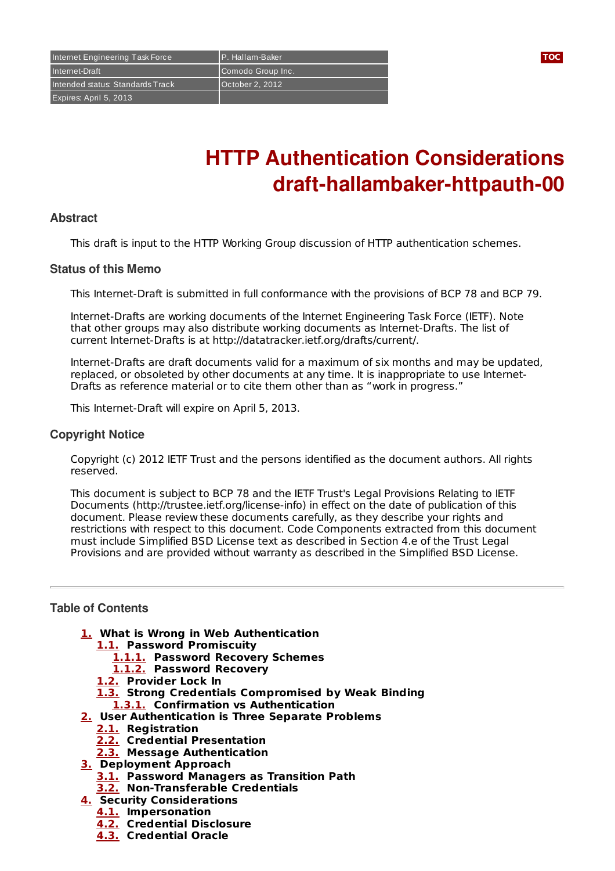Internet Engineering Task Force P. Hallam-Baker **[TOC](#page-0-0)** Internet-Draft Comodo Group Inc. Intended status: Standards Track | October 2, 2012 Expires: April 5, 2013

# **HTTP Authentication Considerations draft-hallambaker-httpauth-00**

#### **Abstract**

This draft is input to the HTTP Working Group discussion of HTTP authentication schemes.

## **Status of this Memo**

This Internet-Draft is submitted in full conformance with the provisions of BCP 78 and BCP 79.

Internet-Drafts are working documents of the Internet Engineering Task Force (IETF). Note that other groups may also distribute working documents as Internet-Drafts. The list of current Internet-Drafts is at http://datatracker.ietf.org/drafts/current/.

Internet-Drafts are draft documents valid for a maximum of six months and may be updated, replaced, or obsoleted by other documents at any time. It is inappropriate to use Internet-Drafts as reference material or to cite them other than as "work in progress."

This Internet-Draft will expire on April 5, 2013.

#### **Copyright Notice**

Copyright (c) 2012 IETF Trust and the persons identified as the document authors. All rights reserved.

This document is subject to BCP 78 and the IETF Trust's Legal Provisions Relating to IETF Documents (http://trustee.ietf.org/license-info) in effect on the date of publication of this document. Please review these documents carefully, as they describe your rights and restrictions with respect to this document. Code Components extracted from this document must include Simplified BSD License text as described in Section 4.e of the Trust Legal Provisions and are provided without warranty as described in the Simplified BSD License.

## <span id="page-0-0"></span>**Table of Contents**

- **[1.](#page-1-0) What is Wrong in Web Authentication**
	- **[1.1.](#page-1-1) Password Promiscuity**
		- **[1.1.1.](#page-1-2) Password Recovery Schemes**
		- **[1.1.2.](#page-1-3) Password Recovery**
	- **[1.2.](#page-1-4) Provider Lock In**
	- **[1.3.](#page-1-5) Strong Credentials Compromised by Weak Binding**
	- **[1.3.1.](#page-1-6) Confirmation vs Authentication**
- **[2.](#page-1-7) User Authentication is Three Separate Problems**
	- **[2.1.](#page-1-8) Registration**
	- **[2.2.](#page-1-9) Credential Presentation**
	- **[2.3.](#page-1-10) Message Authentication**
- **[3.](#page-1-11) Deployment Approach**
	- **[3.1.](#page-1-12) Password Managers as Transition Path**
	- **[3.2.](#page-2-0) Non-Transferable Credentials**
- **[4.](#page-2-1) Security Considerations**
	- **[4.1.](#page-2-2) Impersonation**
	- **[4.2.](#page-2-3) Credential Disclosure**
	- **[4.3.](#page-2-4) Credential Oracle**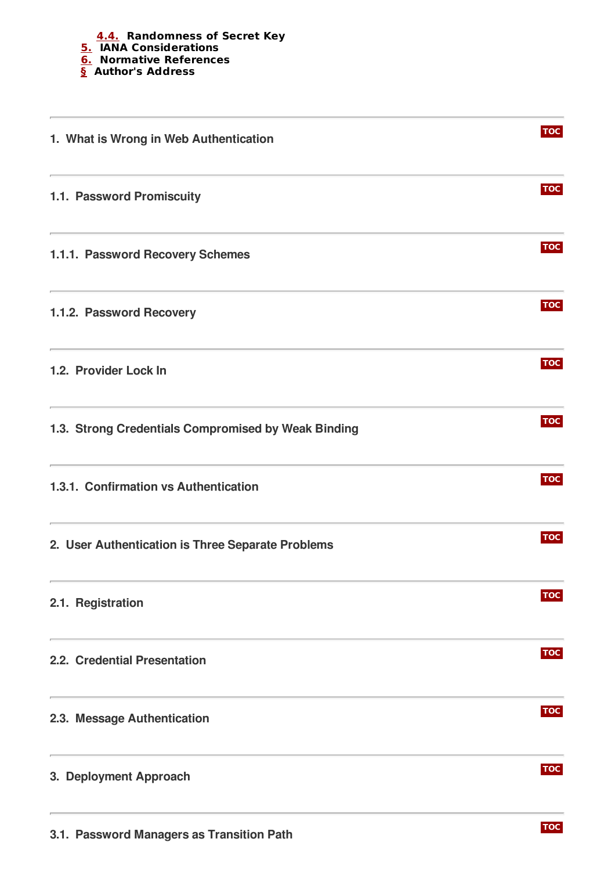<span id="page-1-12"></span><span id="page-1-11"></span><span id="page-1-10"></span><span id="page-1-9"></span><span id="page-1-8"></span><span id="page-1-7"></span><span id="page-1-6"></span><span id="page-1-5"></span><span id="page-1-4"></span><span id="page-1-3"></span><span id="page-1-2"></span><span id="page-1-1"></span><span id="page-1-0"></span>

| 1. What is Wrong in Web Authentication                                                                                                                         | <b>TOC</b> |
|----------------------------------------------------------------------------------------------------------------------------------------------------------------|------------|
| 1.1. Password Promiscuity                                                                                                                                      | <b>TOC</b> |
| <u> 1980 - Johann Barn, amerikansk politiker (d. 1980)</u><br>1.1.1. Password Recovery Schemes                                                                 | <b>TOC</b> |
| <u> Andreas Andreas Andreas Andreas Andreas Andreas Andreas Andreas Andreas Andreas Andreas Andreas Andreas Andr</u><br>1.1.2. Password Recovery               | <b>TOC</b> |
| 1.2. Provider Lock In                                                                                                                                          | <b>TOC</b> |
| 1.3. Strong Credentials Compromised by Weak Binding                                                                                                            | <b>TOC</b> |
| <u> 1980 - Andrea Station Barbara, actor a contrador de la contrador de la contrador de la contrador de la contra</u><br>1.3.1. Confirmation vs Authentication | <b>TOC</b> |
| 2. User Authentication is Three Separate Problems                                                                                                              | <b>TOC</b> |
| 2.1. Registration                                                                                                                                              | <b>TOC</b> |
| 2.2. Credential Presentation                                                                                                                                   | <b>TOC</b> |
| the control of the control of the control of the control of the control of the control of<br>2.3. Message Authentication                                       | <b>TOC</b> |
| 3. Deployment Approach                                                                                                                                         | <b>TOC</b> |
|                                                                                                                                                                |            |